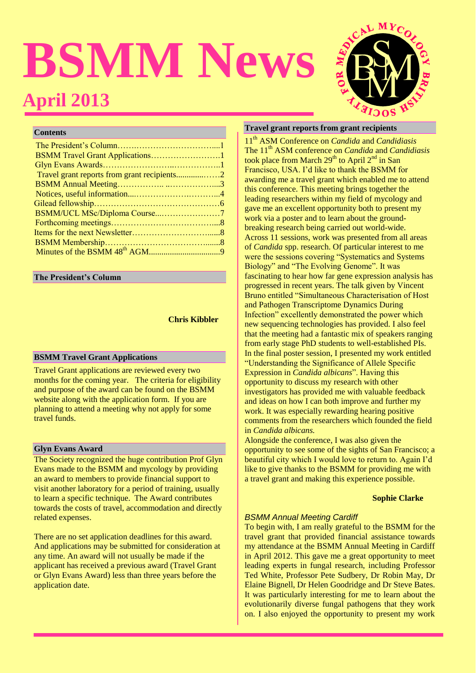# **BSMM News April 2013**



# **Contents**

# **The President's Column**

 **Chris Kibbler**

# **BSMM Travel Grant Applications**

Travel Grant applications are reviewed every two months for the coming year. The criteria for eligibility and purpose of the award can be found on the BSMM website along with the application form. If you are planning to attend a meeting why not apply for some travel funds.

# **Glyn Evans Award**

The Society recognized the huge contribution Prof Glyn Evans made to the BSMM and mycology by providing an award to members to provide financial support to visit another laboratory for a period of training, usually to learn a specific technique. The Award contributes towards the costs of travel, accommodation and directly related expenses.

There are no set application deadlines for this award. And applications may be submitted for consideration at any time. An award will not usually be made if the applicant has received a previous award (Travel Grant or Glyn Evans Award) less than three years before the application date.

# **Travel grant reports from grant recipients**

11th ASM Conference on *Candida* and *Candidiasis* The 11<sup>th</sup> ASM conference on *Candida* and *Candidiasis* took place from March  $29<sup>th</sup>$  to April  $2<sup>nd</sup>$  in San Francisco, USA. I'd like to thank the BSMM for awarding me a travel grant which enabled me to attend this conference. This meeting brings together the leading researchers within my field of mycology and gave me an excellent opportunity both to present my work via a poster and to learn about the groundbreaking research being carried out world-wide. Across 11 sessions, work was presented from all areas of *Candida* spp. research. Of particular interest to me were the sessions covering "Systematics and Systems Biology" and "The Evolving Genome". It was fascinating to hear how far gene expression analysis has progressed in recent years. The talk given by Vincent Bruno entitled "Simultaneous Characterisation of Host and Pathogen Transcriptome Dynamics During Infection" excellently demonstrated the power which new sequencing technologies has provided. I also feel that the meeting had a fantastic mix of speakers ranging from early stage PhD students to well-established PIs. In the final poster session, I presented my work entitled "Understanding the Significance of Allele Specific Expression in *Candida albicans*". Having this opportunity to discuss my research with other investigators has provided me with valuable feedback and ideas on how I can both improve and further my work. It was especially rewarding hearing positive comments from the researchers which founded the field in *Candida albicans.* 

Alongside the conference, I was also given the opportunity to see some of the sights of San Francisco; a beautiful city which I would love to return to. Again I'd like to give thanks to the BSMM for providing me with a travel grant and making this experience possible.

# **Sophie Clarke**

# *BSMM Annual Meeting Cardiff*

To begin with, I am really grateful to the BSMM for the travel grant that provided financial assistance towards my attendance at the BSMM Annual Meeting in Cardiff in April 2012. This gave me a great opportunity to meet leading experts in fungal research, including Professor Ted White, Professor Pete Sudbery, Dr Robin May, Dr Elaine Bignell, Dr Helen Goodridge and Dr Steve Bates. It was particularly interesting for me to learn about the evolutionarily diverse fungal pathogens that they work on. I also enjoyed the opportunity to present my work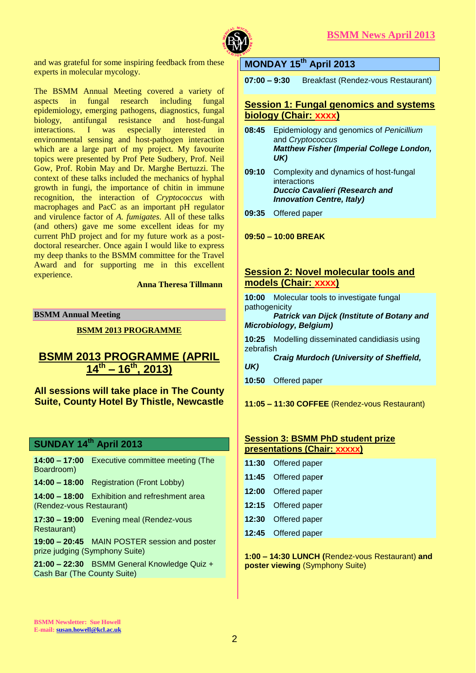

and was grateful for some inspiring feedback from these experts in molecular mycology.

The BSMM Annual Meeting covered a variety of aspects in fungal research including fungal epidemiology, emerging pathogens, diagnostics, fungal beingal resistance and host-fungal<br>I was especially interested in interactions. I was especially interested in environmental sensing and host-pathogen interaction which are a large part of my project. My favourite topics were presented by Prof Pete Sudbery, Prof. Neil Gow, Prof. Robin May and Dr. Marghe Bertuzzi. The context of these talks included the mechanics of hyphal growth in fungi, the importance of chitin in immune recognition, the interaction of *Cryptococcus* with macrophages and PacC as an important pH regulator and virulence factor of *A. fumigates*. All of these talks (and others) gave me some excellent ideas for my current PhD project and for my future work as a postdoctoral researcher. Once again I would like to express my deep thanks to the BSMM committee for the Travel Award and for supporting me in this excellent experience.

 **Anna Theresa Tillmann**

# **BSMM Annual Meeting**

**BSMM 2013 PROGRAMME** 

# **BSMM 2013 PROGRAMME (APRIL 14th – 16th, 2013)**

**All sessions will take place in The County Suite, County Hotel By Thistle, Newcastle**

# **SUNDAY 14th April 2013**

**14:00 – 17:00** Executive committee meeting (The Boardroom)

**14:00 – 18:00** Registration (Front Lobby)

**14:00 – 18:00** Exhibition and refreshment area (Rendez-vous Restaurant)

**17:30 – 19:00** Evening meal (Rendez-vous Restaurant)

**19:00 – 20:45** MAIN POSTER session and poster prize judging (Symphony Suite)

**21:00 – 22:30** BSMM General Knowledge Quiz + Cash Bar (The County Suite)

# **MONDAY 15th April 2013**

**07:00 – 9:30** Breakfast (Rendez-vous Restaurant)

# **Session 1: Fungal genomics and systems biology (Chair: xxxx)**

- **08:45** Epidemiology and genomics of *Penicillium* and *Cryptococcus Matthew Fisher (Imperial College London, UK)*
- **09:10** Complexity and dynamics of host-fungal interactions *Duccio Cavalieri (Research and Innovation Centre, Italy)*
- **09:35** Offered paper

**09:50 – 10:00 BREAK**

# **Session 2: Novel molecular tools and models (Chair: xxxx)**

**10:00** Molecular tools to investigate fungal pathogenicity

*Patrick van Dijck (Institute of Botany and Microbiology, Belgium)*

**10:25** Modelling disseminated candidiasis using zebrafish

- *Craig Murdoch (University of Sheffield, UK)*
- **10:50** Offered paper
- **11:05 – 11:30 COFFEE** (Rendez-vous Restaurant)

| <b>Session 3: BSMM PhD student prize</b> |  |  |
|------------------------------------------|--|--|
| presentations (Chair: xxxxx)             |  |  |

| 11:30 Offered paper |
|---------------------|
| 11:45 Offered paper |
| 12:00 Offered paper |
| 12:15 Offered paper |
| 12:30 Offered paper |
| 12:45 Offered paper |

**1:00 – 14:30 LUNCH (**Rendez-vous Restaurant) **and poster viewing** (Symphony Suite)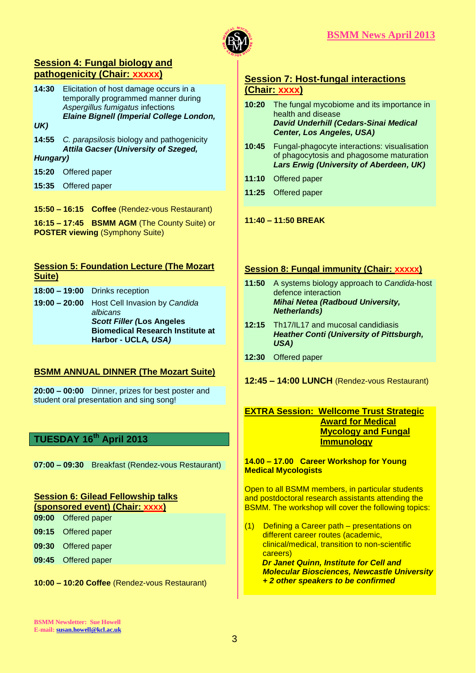

# **Session 4: Fungal biology and pathogenicity (Chair: xxxxx)**

- **14:30** Elicitation of host damage occurs in a temporally programmed manner during *Aspergillus fumigatus* infections *Elaine Bignell (Imperial College London,*
- *UK)*
- **14:55** *C. parapsilosis* biology and pathogenicity *Attila Gacser (University of Szeged,*
- *Hungary)*
- **15:20** Offered paper
- **15:35** Offered paper
- **15:50 – 16:15 Coffee** (Rendez-vous Restaurant)
- **16:15 – 17:45 BSMM AGM** (The County Suite) or **POSTER viewing** (Symphony Suite)

| <b>Session 5: Foundation Lecture (The Mozart</b> |                                       |  |
|--------------------------------------------------|---------------------------------------|--|
| Suite)                                           |                                       |  |
|                                                  | <b>18:00 - 19:00</b> Drinks reception |  |

**19:00 – 20:00** Host Cell Invasion by *Candida albicans Scott Filler (***Los Angeles Biomedical Research Institute at Harbor - UCLA***, USA)*

# **BSMM ANNUAL DINNER (The Mozart Suite)**

**20:00 – 00:00** Dinner, prizes for best poster and student oral presentation and sing song!

# **TUESDAY 16th April 2013**

**07:00 – 09:30** Breakfast (Rendez-vous Restaurant)

#### **Session 6: Gilead Fellowship talks (sponsored event) (Chair: xxxx)**

- **09:00** Offered paper
- **09:15** Offered paper
- **09:30** Offered paper
- **09:45** Offered paper

**10:00 – 10:20 Coffee** (Rendez-vous Restaurant)

# **Session 7: Host-fungal interactions (Chair: xxxx)**

- **10:20** The fungal mycobiome and its importance in health and disease *David Underhill (Cedars-Sinai Medical Center, Los Angeles, USA)*
- **10:45** Fungal-phagocyte interactions: visualisation of phagocytosis and phagosome maturation *Lars Erwig (University of Aberdeen, UK)*
- **11:10** Offered paper
- **11:25** Offered paper
- **11:40 – 11:50 BREAK**

# **Session 8: Fungal immunity (Chair: xxxxx)**

- **11:50** A systems biology approach to *Candida*-host defence interaction *Mihai Netea (Radboud University, Netherlands)*
- **12:15** Th17/IL17 and mucosal candidiasis *Heather Conti (University of Pittsburgh, USA)*
- **12:30** Offered paper
- **12:45 – 14:00 LUNCH** (Rendez-vous Restaurant)

# **EXTRA Session: Wellcome Trust Strategic Award for Medical Mycology and Fungal Immunology**

#### **14.00 – 17.00 Career Workshop for Young Medical Mycologists**

Open to all BSMM members, in particular students and postdoctoral research assistants attending the BSMM. The workshop will cover the following topics:

(1) Defining a Career path – presentations on different career routes (academic, clinical/medical, transition to non-scientific careers)  *Dr Janet Quinn, Institute for Cell and Molecular Biosciences, Newcastle University + 2 other speakers to be confirmed*

**BSMM Newsletter: Sue Howell E-mail[: susan.howell@kcl.ac.uk](mailto:susan.howell@kcl.ac.uk)**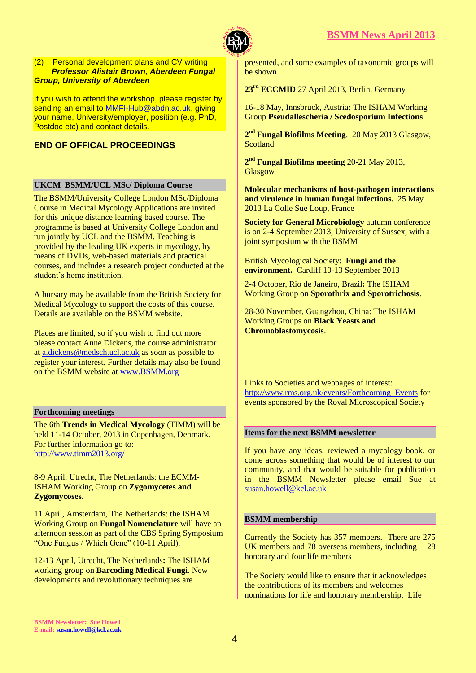

#### (2) Personal development plans and CV writing  *Professor Alistair Brown, Aberdeen Fungal Group, University of Aberdeen*

If you wish to attend the workshop, please register by sending an email to **MMFI-Hub@abdn.ac.uk, giving** your name, University/employer, position (e.g. PhD, Postdoc etc) and contact details.

# **END OF OFFICAL PROCEEDINGS**

# **UKCM BSMM/UCL MSc/ Diploma Course**

The BSMM/University College London MSc/Diploma Course in Medical Mycology Applications are invited for this unique distance learning based course. The programme is based at University College London and run jointly by UCL and the BSMM. Teaching is provided by the leading UK experts in mycology, by means of DVDs, web-based materials and practical courses, and includes a research project conducted at the student's home institution.

A bursary may be available from the British Society for Medical Mycology to support the costs of this course. Details are available on the BSMM website.

Places are limited, so if you wish to find out more please contact Anne Dickens, the course administrator at [a.dickens@medsch.ucl.ac.uk](mailto:a.dickens@medsch.ucl.ac.uk) as soon as possible to register your interest. Further details may also be found on the BSMM website at [www.BSMM.org](http://www.bsmm.org/)

# **Forthcoming meetings**

The 6th **Trends in Medical Mycology** (TIMM) will be held 11-14 October, 2013 in Copenhagen, Denmark. For further information go to: <http://www.timm2013.org/>

8-9 April, Utrecht, The Netherlands: the ECMM-ISHAM Working Group on **Zygomycetes and Zygomycoses**.

11 April, Amsterdam, The Netherlands: the ISHAM Working Group on **Fungal Nomenclature** will have an afternoon session as part of the CBS Spring Symposium "One Fungus / Which Gene" (10-11 April).

12-13 April, Utrecht, The Netherlands**:** The ISHAM working group on **Barcoding Medical Fungi**. New developments and revolutionary techniques are

presented, and some examples of taxonomic groups will be shown

**23rd ECCMID** 27 April 2013, Berlin, Germany

16-18 May, Innsbruck, Austria**:** The ISHAM Working Group **Pseudallescheria / Scedosporium Infections**

**2 nd Fungal Biofilms Meeting**. 20 May 2013 Glasgow, Scotland

**2 nd Fungal Biofilms meeting** 20-21 May 2013, Glasgow

**Molecular mechanisms of host-pathogen interactions and virulence in human fungal infections.** 25 May 2013 La Colle Sue Loup, France

**Society for General Microbiology** autumn conference is on 2-4 September 2013, University of Sussex, with a joint symposium with the BSMM

British Mycological Society: **Fungi and the environment.** Cardiff 10-13 September 2013

2-4 October, Rio de Janeiro, Brazil**:** The ISHAM Working Group on **Sporothrix and Sporotrichosis**.

28-30 November, Guangzhou, China: The ISHAM Working Groups on **Black Yeasts and Chromoblastomycosis**.

Links to Societies and webpages of interest: [http://www.rms.org.uk/events/Forthcoming\\_Events](http://www.rms.org.uk/events/Forthcoming_Events) for events sponsored by the Royal Microscopical Society

# **Items for the next BSMM newsletter**

If you have any ideas, reviewed a mycology book, or come across something that would be of interest to our community, and that would be suitable for publication in the BSMM Newsletter please email Sue at [susan.howell@kcl.ac.uk](mailto:susan.howell@kcl.ac.uk) 

# **BSMM membership**

Currently the Society has 357 members. There are 275 UK members and 78 overseas members, including 28 honorary and four life members

The Society would like to ensure that it acknowledges the contributions of its members and welcomes nominations for life and honorary membership. Life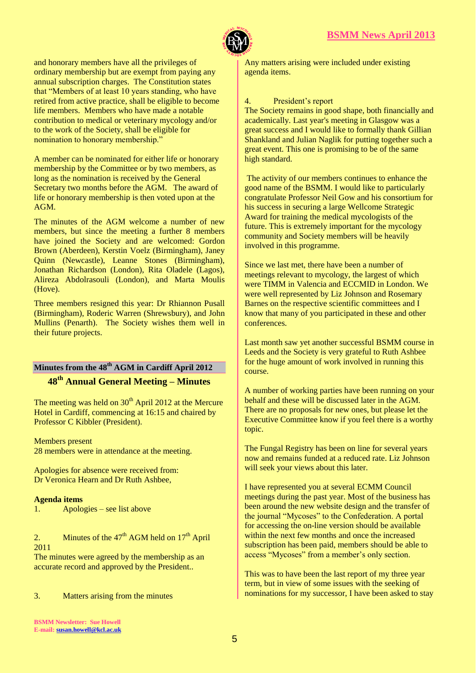



and honorary members have all the privileges of ordinary membership but are exempt from paying any annual subscription charges. The Constitution states that "Members of at least 10 years standing, who have retired from active practice, shall be eligible to become life members. Members who have made a notable contribution to medical or veterinary mycology and/or to the work of the Society, shall be eligible for nomination to honorary membership."

A member can be nominated for either life or honorary membership by the Committee or by two members, as long as the nomination is received by the General Secretary two months before the AGM. The award of life or honorary membership is then voted upon at the AGM.

The minutes of the AGM welcome a number of new members, but since the meeting a further 8 members have joined the Society and are welcomed: Gordon Brown (Aberdeen), Kerstin Voelz (Birmingham), Janey Quinn (Newcastle), Leanne Stones (Birmingham), Jonathan Richardson (London), Rita Oladele (Lagos), Alireza Abdolrasouli (London), and Marta Moulis (Hove).

Three members resigned this year: Dr Rhiannon Pusall (Birmingham), Roderic Warren (Shrewsbury), and John Mullins (Penarth). The Society wishes them well in their future projects.

# **Minutes from the 48 th AGM in Cardiff April 2012**

# **48th Annual General Meeting – Minutes**

The meeting was held on  $30<sup>th</sup>$  April 2012 at the Mercure Hotel in Cardiff, commencing at 16:15 and chaired by Professor C Kibbler (President).

Members present 28 members were in attendance at the meeting.

Apologies for absence were received from: Dr Veronica Hearn and Dr Ruth Ashbee,

# **Agenda items**

1. Apologies – see list above

2. Minutes of the  $47<sup>th</sup>$  AGM held on  $17<sup>th</sup>$  April 2011

The minutes were agreed by the membership as an accurate record and approved by the President..

3. Matters arising from the minutes

Any matters arising were included under existing agenda items.

#### 4. President's report

The Society remains in good shape, both financially and academically. Last year's meeting in Glasgow was a great success and I would like to formally thank Gillian Shankland and Julian Naglik for putting together such a great event. This one is promising to be of the same high standard.

The activity of our members continues to enhance the good name of the BSMM. I would like to particularly congratulate Professor Neil Gow and his consortium for his success in securing a large Wellcome Strategic Award for training the medical mycologists of the future. This is extremely important for the mycology community and Society members will be heavily involved in this programme.

Since we last met, there have been a number of meetings relevant to mycology, the largest of which were TIMM in Valencia and ECCMID in London. We were well represented by Liz Johnson and Rosemary Barnes on the respective scientific committees and I know that many of you participated in these and other conferences.

Last month saw yet another successful BSMM course in Leeds and the Society is very grateful to Ruth Ashbee for the huge amount of work involved in running this course.

A number of working parties have been running on your behalf and these will be discussed later in the AGM. There are no proposals for new ones, but please let the Executive Committee know if you feel there is a worthy topic.

The Fungal Registry has been on line for several years now and remains funded at a reduced rate. Liz Johnson will seek your views about this later.

I have represented you at several ECMM Council meetings during the past year. Most of the business has been around the new website design and the transfer of the journal "Mycoses" to the Confederation. A portal for accessing the on-line version should be available within the next few months and once the increased subscription has been paid, members should be able to access "Mycoses" from a member's only section.

This was to have been the last report of my three year term, but in view of some issues with the seeking of nominations for my successor, I have been asked to stay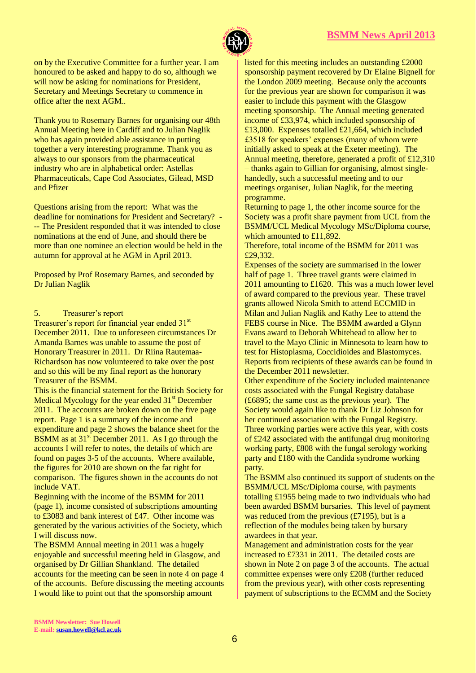

on by the Executive Committee for a further year. I am honoured to be asked and happy to do so, although we will now be asking for nominations for President, Secretary and Meetings Secretary to commence in office after the next AGM..

Thank you to Rosemary Barnes for organising our 48th Annual Meeting here in Cardiff and to Julian Naglik who has again provided able assistance in putting together a very interesting programme. Thank you as always to our sponsors from the pharmaceutical industry who are in alphabetical order: Astellas Pharmaceuticals, Cape Cod Associates, Gilead, MSD and Pfizer

Questions arising from the report: What was the deadline for nominations for President and Secretary? - -- The President responded that it was intended to close nominations at the end of June, and should there be more than one nominee an election would be held in the autumn for approval at he AGM in April 2013.

Proposed by Prof Rosemary Barnes, and seconded by Dr Julian Naglik

# 5. Treasurer's report

Treasurer's report for financial year ended 31<sup>st</sup> December 2011. Due to unforeseen circumstances Dr Amanda Barnes was unable to assume the post of Honorary Treasurer in 2011. Dr Riina Rautemaa-Richardson has now volunteered to take over the post and so this will be my final report as the honorary Treasurer of the BSMM.

This is the financial statement for the British Society for Medical Mycology for the year ended  $31<sup>st</sup>$  December 2011. The accounts are broken down on the five page report. Page 1 is a summary of the income and expenditure and page 2 shows the balance sheet for the BSMM as at  $31<sup>st</sup>$  December 2011. As I go through the accounts I will refer to notes, the details of which are found on pages 3-5 of the accounts. Where available, the figures for 2010 are shown on the far right for comparison. The figures shown in the accounts do not include VAT.

Beginning with the income of the BSMM for 2011 (page 1), income consisted of subscriptions amounting to £3083 and bank interest of £47. Other income was generated by the various activities of the Society, which I will discuss now.

The BSMM Annual meeting in 2011 was a hugely enjoyable and successful meeting held in Glasgow, and organised by Dr Gillian Shankland. The detailed accounts for the meeting can be seen in note 4 on page 4 of the accounts. Before discussing the meeting accounts I would like to point out that the sponsorship amount

listed for this meeting includes an outstanding £2000 sponsorship payment recovered by Dr Elaine Bignell for the London 2009 meeting. Because only the accounts for the previous year are shown for comparison it was easier to include this payment with the Glasgow meeting sponsorship. The Annual meeting generated income of £33,974, which included sponsorship of £13,000. Expenses totalled £21,664, which included £3518 for speakers' expenses (many of whom were initially asked to speak at the Exeter meeting). The Annual meeting, therefore, generated a profit of £12,310 – thanks again to Gillian for organising, almost singlehandedly, such a successful meeting and to our meetings organiser, Julian Naglik, for the meeting programme.

Returning to page 1, the other income source for the Society was a profit share payment from UCL from the BSMM/UCL Medical Mycology MSc/Diploma course, which amounted to £11,892.

Therefore, total income of the BSMM for 2011 was £29,332.

Expenses of the society are summarised in the lower half of page 1. Three travel grants were claimed in 2011 amounting to £1620. This was a much lower level of award compared to the previous year. These travel grants allowed Nicola Smith to attend ECCMID in Milan and Julian Naglik and Kathy Lee to attend the FEBS course in Nice. The BSMM awarded a Glynn Evans award to Deborah Whitehead to allow her to travel to the Mayo Clinic in Minnesota to learn how to test for Histoplasma, Coccidioides and Blastomyces. Reports from recipients of these awards can be found in the December 2011 newsletter.

Other expenditure of the Society included maintenance costs associated with the Fungal Registry database (£6895; the same cost as the previous year). The Society would again like to thank Dr Liz Johnson for her continued association with the Fungal Registry. Three working parties were active this year, with costs of £242 associated with the antifungal drug monitoring working party, £808 with the fungal serology working party and £180 with the Candida syndrome working party.

The BSMM also continued its support of students on the BSMM/UCL MSc/Diploma course, with payments totalling £1955 being made to two individuals who had been awarded BSMM bursaries. This level of payment was reduced from the previous  $(E7195)$ , but is a reflection of the modules being taken by bursary awardees in that year.

Management and administration costs for the year increased to £7331 in 2011. The detailed costs are shown in Note 2 on page 3 of the accounts. The actual committee expenses were only £208 (further reduced from the previous year), with other costs representing payment of subscriptions to the ECMM and the Society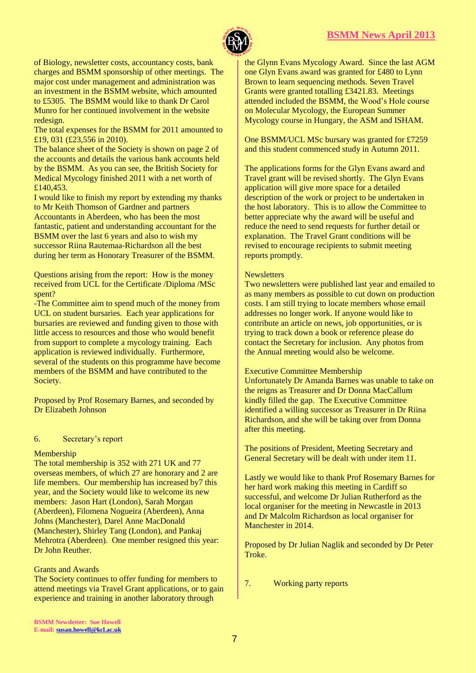

of Biology, newsletter costs, accountancy costs, bank charges and BSMM sponsorship of other meetings. The major cost under management and administration was an investment in the BSMM website, which amounted to £5305. The BSMM would like to thank Dr Carol Munro for her continued involvement in the website redesign.

The total expenses for the BSMM for 2011 amounted to £19, 031 (£23,556 in 2010).

The balance sheet of the Society is shown on page 2 of the accounts and details the various bank accounts held by the BSMM. As you can see, the British Society for Medical Mycology finished 2011 with a net worth of £140,453.

I would like to finish my report by extending my thanks to Mr Keith Thomson of Gardner and partners Accountants in Aberdeen, who has been the most fantastic, patient and understanding accountant for the BSMM over the last 6 years and also to wish my successor Riina Rautemaa-Richardson all the best during her term as Honorary Treasurer of the BSMM.

Questions arising from the report: How is the money received from UCL for the Certificate /Diploma /MSc spent?

-The Committee aim to spend much of the money from UCL on student bursaries. Each year applications for bursaries are reviewed and funding given to those with little access to resources and those who would benefit from support to complete a mycology training. Each application is reviewed individually. Furthermore, several of the students on this programme have become members of the BSMM and have contributed to the Society.

Proposed by Prof Rosemary Barnes, and seconded by Dr Elizabeth Johnson

# 6. Secretary's report

#### Membership

The total membership is 352 with 271 UK and 77 overseas members, of which 27 are honorary and 2 are life members. Our membership has increased by7 this year, and the Society would like to welcome its new members: Jason Hart (London), Sarah Morgan (Aberdeen), Filomena Nogueira (Aberdeen), Anna Johns (Manchester), Darel Anne MacDonald (Manchester), Shirley Tang (London), and Pankaj Mehrotra (Aberdeen). One member resigned this year: Dr John Reuther.

#### Grants and Awards

The Society continues to offer funding for members to attend meetings via Travel Grant applications, or to gain experience and training in another laboratory through

the Glynn Evans Mycology Award. Since the last AGM one Glyn Evans award was granted for £480 to Lynn Brown to learn sequencing methods. Seven Travel Grants were granted totalling £3421.83. Meetings attended included the BSMM, the Wood's Hole course on Molecular Mycology, the European Summer Mycology course in Hungary, the ASM and ISHAM.

One BSMM/UCL MSc bursary was granted for £7259 and this student commenced study in Autumn 2011.

The applications forms for the Glyn Evans award and Travel grant will be revised shortly. The Glyn Evans application will give more space for a detailed description of the work or project to be undertaken in the host laboratory. This is to allow the Committee to better appreciate why the award will be useful and reduce the need to send requests for further detail or explanation. The Travel Grant conditions will be revised to encourage recipients to submit meeting reports promptly.

#### **Newsletters**

Two newsletters were published last year and emailed to as many members as possible to cut down on production costs. I am still trying to locate members whose email addresses no longer work. If anyone would like to contribute an article on news, job opportunities, or is trying to track down a book or reference please do contact the Secretary for inclusion. Any photos from the Annual meeting would also be welcome.

#### Executive Committee Membership

Unfortunately Dr Amanda Barnes was unable to take on the reigns as Treasurer and Dr Donna MacCallum kindly filled the gap. The Executive Committee identified a willing successor as Treasurer in Dr Riina Richardson, and she will be taking over from Donna after this meeting.

The positions of President, Meeting Secretary and General Secretary will be dealt with under item 11.

Lastly we would like to thank Prof Rosemary Barnes for her hard work making this meeting in Cardiff so successful, and welcome Dr Julian Rutherford as the local organiser for the meeting in Newcastle in 2013 and Dr Malcolm Richardson as local organiser for Manchester in 2014.

Proposed by Dr Julian Naglik and seconded by Dr Peter Troke.

7. Working party reports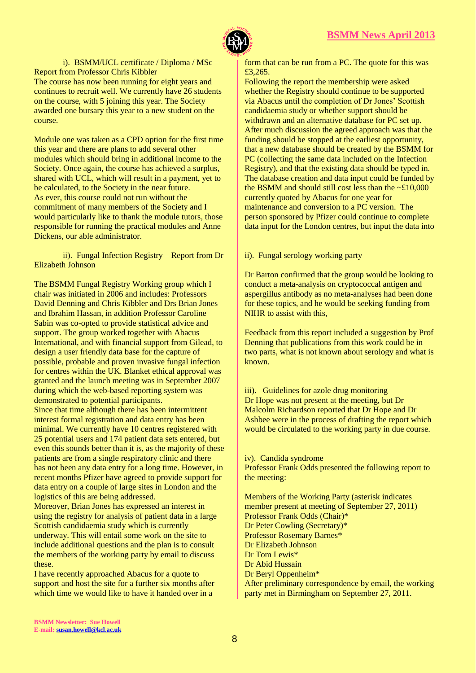

i). BSMM/UCL certificate / Diploma / MSc – Report from Professor Chris Kibbler The course has now been running for eight years and continues to recruit well. We currently have 26 students on the course, with 5 joining this year. The Society awarded one bursary this year to a new student on the course.

Module one was taken as a CPD option for the first time this year and there are plans to add several other modules which should bring in additional income to the Society. Once again, the course has achieved a surplus, shared with UCL, which will result in a payment, yet to be calculated, to the Society in the near future. As ever, this course could not run without the commitment of many members of the Society and I would particularly like to thank the module tutors, those responsible for running the practical modules and Anne Dickens, our able administrator.

ii). Fungal Infection Registry – Report from Dr Elizabeth Johnson

The BSMM Fungal Registry Working group which I chair was initiated in 2006 and includes: Professors David Denning and Chris Kibbler and Drs Brian Jones and Ibrahim Hassan, in addition Professor Caroline Sabin was co-opted to provide statistical advice and support. The group worked together with Abacus International, and with financial support from Gilead, to design a user friendly data base for the capture of possible, probable and proven invasive fungal infection for centres within the UK. Blanket ethical approval was granted and the launch meeting was in September 2007 during which the web-based reporting system was demonstrated to potential participants.

Since that time although there has been intermittent interest formal registration and data entry has been minimal. We currently have 10 centres registered with 25 potential users and 174 patient data sets entered, but even this sounds better than it is, as the majority of these patients are from a single respiratory clinic and there has not been any data entry for a long time. However, in recent months Pfizer have agreed to provide support for data entry on a couple of large sites in London and the logistics of this are being addressed.

Moreover, Brian Jones has expressed an interest in using the registry for analysis of patient data in a large Scottish candidaemia study which is currently underway. This will entail some work on the site to include additional questions and the plan is to consult the members of the working party by email to discuss these.

I have recently approached Abacus for a quote to support and host the site for a further six months after which time we would like to have it handed over in a

form that can be run from a PC. The quote for this was £3,265.

Following the report the membership were asked whether the Registry should continue to be supported via Abacus until the completion of Dr Jones' Scottish candidaemia study or whether support should be withdrawn and an alternative database for PC set up. After much discussion the agreed approach was that the funding should be stopped at the earliest opportunity, that a new database should be created by the BSMM for PC (collecting the same data included on the Infection Registry), and that the existing data should be typed in. The database creation and data input could be funded by the BSMM and should still cost less than the ~£10,000 currently quoted by Abacus for one year for maintenance and conversion to a PC version. The person sponsored by Pfizer could continue to complete data input for the London centres, but input the data into

ii). Fungal serology working party

Dr Barton confirmed that the group would be looking to conduct a meta-analysis on cryptococcal antigen and aspergillus antibody as no meta-analyses had been done for these topics, and he would be seeking funding from NIHR to assist with this,

Feedback from this report included a suggestion by Prof Denning that publications from this work could be in two parts, what is not known about serology and what is known.

iii). Guidelines for azole drug monitoring Dr Hope was not present at the meeting, but Dr Malcolm Richardson reported that Dr Hope and Dr Ashbee were in the process of drafting the report which would be circulated to the working party in due course.

iv). Candida syndrome Professor Frank Odds presented the following report to the meeting:

Members of the Working Party (asterisk indicates member present at meeting of September 27, 2011) Professor Frank Odds (Chair)\* Dr Peter Cowling (Secretary)\* Professor Rosemary Barnes\* Dr Elizabeth Johnson Dr Tom Lewis\* Dr Abid Hussain Dr Beryl Oppenheim\* After preliminary correspondence by email, the working party met in Birmingham on September 27, 2011.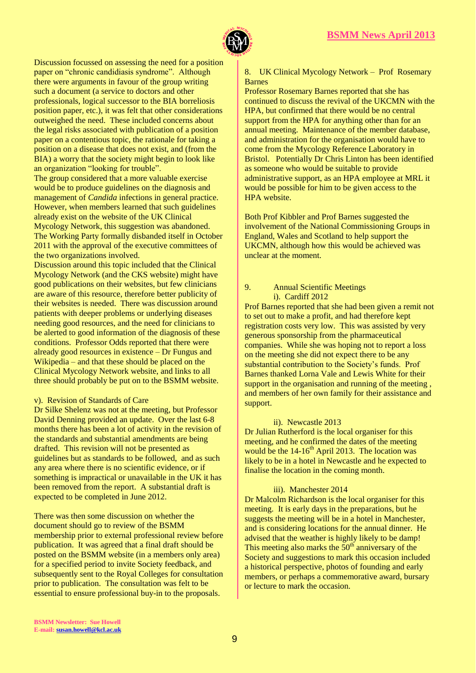

Discussion focussed on assessing the need for a position paper on "chronic candidiasis syndrome". Although there were arguments in favour of the group writing such a document (a service to doctors and other professionals, logical successor to the BIA borreliosis position paper, etc.), it was felt that other considerations outweighed the need. These included concerns about the legal risks associated with publication of a position paper on a contentious topic, the rationale for taking a position on a disease that does not exist, and (from the BIA) a worry that the society might begin to look like an organization "looking for trouble". The group considered that a more valuable exercise would be to produce guidelines on the diagnosis and management of *Candida* infections in general practice. However, when members learned that such guidelines

already exist on the website of the UK Clinical Mycology Network, this suggestion was abandoned. The Working Party formally disbanded itself in October 2011 with the approval of the executive committees of the two organizations involved.

Discussion around this topic included that the Clinical Mycology Network (and the CKS website) might have good publications on their websites, but few clinicians are aware of this resource, therefore better publicity of their websites is needed. There was discussion around patients with deeper problems or underlying diseases needing good resources, and the need for clinicians to be alerted to good information of the diagnosis of these conditions. Professor Odds reported that there were already good resources in existence – Dr Fungus and Wikipedia – and that these should be placed on the Clinical Mycology Network website, and links to all three should probably be put on to the BSMM website.

# v). Revision of Standards of Care

Dr Silke Shelenz was not at the meeting, but Professor David Denning provided an update. Over the last 6-8 months there has been a lot of activity in the revision of the standards and substantial amendments are being drafted. This revision will not be presented as guidelines but as standards to be followed, and as such any area where there is no scientific evidence, or if something is impractical or unavailable in the UK it has been removed from the report. A substantial draft is expected to be completed in June 2012.

There was then some discussion on whether the document should go to review of the BSMM membership prior to external professional review before publication. It was agreed that a final draft should be posted on the BSMM website (in a members only area) for a specified period to invite Society feedback, and subsequently sent to the Royal Colleges for consultation prior to publication. The consultation was felt to be essential to ensure professional buy-in to the proposals.

#### 8. UK Clinical Mycology Network – Prof Rosemary Barnes

Professor Rosemary Barnes reported that she has continued to discuss the revival of the UKCMN with the HPA, but confirmed that there would be no central support from the HPA for anything other than for an annual meeting. Maintenance of the member database, and administration for the organisation would have to come from the Mycology Reference Laboratory in Bristol. Potentially Dr Chris Linton has been identified as someone who would be suitable to provide administrative support, as an HPA employee at MRL it would be possible for him to be given access to the HPA website.

Both Prof Kibbler and Prof Barnes suggested the involvement of the National Commissioning Groups in England, Wales and Scotland to help support the UKCMN, although how this would be achieved was unclear at the moment.

# 9. Annual Scientific Meetings i). Cardiff 2012

Prof Barnes reported that she had been given a remit not to set out to make a profit, and had therefore kept registration costs very low. This was assisted by very generous sponsorship from the pharmaceutical companies. While she was hoping not to report a loss on the meeting she did not expect there to be any substantial contribution to the Society's funds. Prof Barnes thanked Lorna Vale and Lewis White for their support in the organisation and running of the meeting , and members of her own family for their assistance and support.

# ii). Newcastle 2013

Dr Julian Rutherford is the local organiser for this meeting, and he confirmed the dates of the meeting would be the  $14-16^{th}$  April 2013. The location was likely to be in a hotel in Newcastle and he expected to finalise the location in the coming month.

# iii). Manchester 2014

Dr Malcolm Richardson is the local organiser for this meeting. It is early days in the preparations, but he suggests the meeting will be in a hotel in Manchester, and is considering locations for the annual dinner. He advised that the weather is highly likely to be damp! This meeting also marks the  $50<sup>th</sup>$  anniversary of the Society and suggestions to mark this occasion included a historical perspective, photos of founding and early members, or perhaps a commemorative award, bursary or lecture to mark the occasion.